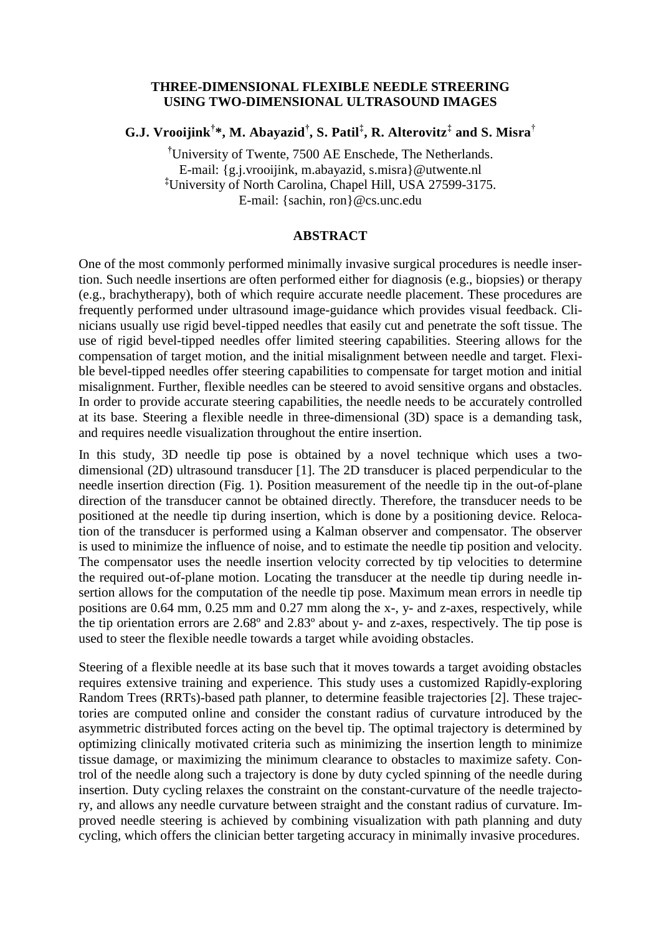## **THREE-DIMENSIONAL FLEXIBLE NEEDLE STREERING USING TWO-DIMENSIONAL ULTRASOUND IMAGES**

**G.J. Vrooijink† \*, M. Abayazid† , S. Patil‡ , R. Alterovitz‡ and S. Misra**†

**†**University of Twente, 7500 AE Enschede, The Netherlands. E-mail: [{g.j.vrooijink, m.abayazid,](mailto:g.j.vrooijink,) [s.misra}@utwente.nl](mailto:s.misra%7D@utwente.nl) **‡**University of North Carolina, Chapel Hill, USA 27599-3175. E-mail: {sachin, [ron}@cs.unc.edu](mailto:ron%7D@cs.unc.edu)

## **ABSTRACT**

One of the most commonly performed minimally invasive surgical procedures is needle insertion. Such needle insertions are often performed either for diagnosis (e.g., biopsies) or therapy (e.g., brachytherapy), both of which require accurate needle placement. These procedures are frequently performed under ultrasound image-guidance which provides visual feedback. Clinicians usually use rigid bevel-tipped needles that easily cut and penetrate the soft tissue. The use of rigid bevel-tipped needles offer limited steering capabilities. Steering allows for the compensation of target motion, and the initial misalignment between needle and target. Flexible bevel-tipped needles offer steering capabilities to compensate for target motion and initial misalignment. Further, flexible needles can be steered to avoid sensitive organs and obstacles. In order to provide accurate steering capabilities, the needle needs to be accurately controlled at its base. Steering a flexible needle in three-dimensional (3D) space is a demanding task, and requires needle visualization throughout the entire insertion.

In this study, 3D needle tip pose is obtained by a novel technique which uses a twodimensional (2D) ultrasound transducer [1]. The 2D transducer is placed perpendicular to the needle insertion direction (Fig. 1). Position measurement of the needle tip in the out-of-plane direction of the transducer cannot be obtained directly. Therefore, the transducer needs to be positioned at the needle tip during insertion, which is done by a positioning device. Relocation of the transducer is performed using a Kalman observer and compensator. The observer is used to minimize the influence of noise, and to estimate the needle tip position and velocity. The compensator uses the needle insertion velocity corrected by tip velocities to determine the required out-of-plane motion. Locating the transducer at the needle tip during needle insertion allows for the computation of the needle tip pose. Maximum mean errors in needle tip positions are 0.64 mm, 0.25 mm and 0.27 mm along the x-, y- and z-axes, respectively, while the tip orientation errors are 2.68º and 2.83º about y- and z-axes, respectively. The tip pose is used to steer the flexible needle towards a target while avoiding obstacles.

Steering of a flexible needle at its base such that it moves towards a target avoiding obstacles requires extensive training and experience. This study uses a customized Rapidly-exploring Random Trees (RRTs)-based path planner, to determine feasible trajectories [2]. These trajectories are computed online and consider the constant radius of curvature introduced by the asymmetric distributed forces acting on the bevel tip. The optimal trajectory is determined by optimizing clinically motivated criteria such as minimizing the insertion length to minimize tissue damage, or maximizing the minimum clearance to obstacles to maximize safety. Control of the needle along such a trajectory is done by duty cycled spinning of the needle during insertion. Duty cycling relaxes the constraint on the constant-curvature of the needle trajectory, and allows any needle curvature between straight and the constant radius of curvature. Improved needle steering is achieved by combining visualization with path planning and duty cycling, which offers the clinician better targeting accuracy in minimally invasive procedures.